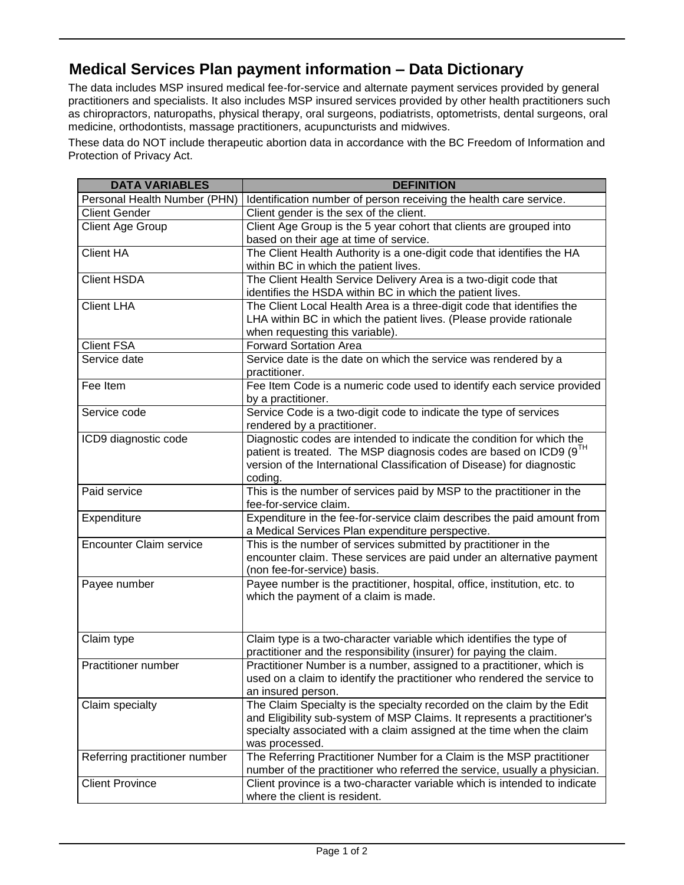## **Medical Services Plan payment information – Data Dictionary**

The data includes MSP insured medical fee-for-service and alternate payment services provided by general practitioners and specialists. It also includes MSP insured services provided by other health practitioners such as chiropractors, naturopaths, physical therapy, oral surgeons, podiatrists, optometrists, dental surgeons, oral medicine, orthodontists, massage practitioners, acupuncturists and midwives.

These data do NOT include therapeutic abortion data in accordance with the BC Freedom of Information and Protection of Privacy Act.

| <b>DATA VARIABLES</b>          | <b>DEFINITION</b>                                                                 |
|--------------------------------|-----------------------------------------------------------------------------------|
| Personal Health Number (PHN)   | Identification number of person receiving the health care service.                |
| <b>Client Gender</b>           | Client gender is the sex of the client.                                           |
| <b>Client Age Group</b>        | Client Age Group is the 5 year cohort that clients are grouped into               |
|                                | based on their age at time of service.                                            |
| <b>Client HA</b>               | The Client Health Authority is a one-digit code that identifies the HA            |
|                                | within BC in which the patient lives.                                             |
| <b>Client HSDA</b>             | The Client Health Service Delivery Area is a two-digit code that                  |
|                                | identifies the HSDA within BC in which the patient lives.                         |
| <b>Client LHA</b>              | The Client Local Health Area is a three-digit code that identifies the            |
|                                | LHA within BC in which the patient lives. (Please provide rationale               |
|                                | when requesting this variable).                                                   |
| <b>Client FSA</b>              | <b>Forward Sortation Area</b>                                                     |
| Service date                   | Service date is the date on which the service was rendered by a                   |
|                                | practitioner.                                                                     |
| Fee Item                       | Fee Item Code is a numeric code used to identify each service provided            |
|                                | by a practitioner.                                                                |
| Service code                   | Service Code is a two-digit code to indicate the type of services                 |
|                                | rendered by a practitioner.                                                       |
| ICD9 diagnostic code           | Diagnostic codes are intended to indicate the condition for which the             |
|                                | patient is treated. The MSP diagnosis codes are based on ICD9 (9TH                |
|                                | version of the International Classification of Disease) for diagnostic<br>coding. |
| Paid service                   | This is the number of services paid by MSP to the practitioner in the             |
|                                | fee-for-service claim.                                                            |
| Expenditure                    | Expenditure in the fee-for-service claim describes the paid amount from           |
|                                | a Medical Services Plan expenditure perspective.                                  |
| <b>Encounter Claim service</b> | This is the number of services submitted by practitioner in the                   |
|                                | encounter claim. These services are paid under an alternative payment             |
|                                | (non fee-for-service) basis.                                                      |
| Payee number                   | Payee number is the practitioner, hospital, office, institution, etc. to          |
|                                | which the payment of a claim is made.                                             |
|                                |                                                                                   |
|                                |                                                                                   |
| Claim type                     | Claim type is a two-character variable which identifies the type of               |
|                                | practitioner and the responsibility (insurer) for paying the claim.               |
| Practitioner number            | Practitioner Number is a number, assigned to a practitioner, which is             |
|                                | used on a claim to identify the practitioner who rendered the service to          |
|                                | an insured person.                                                                |
| Claim specialty                | The Claim Specialty is the specialty recorded on the claim by the Edit            |
|                                | and Eligibility sub-system of MSP Claims. It represents a practitioner's          |
|                                | specialty associated with a claim assigned at the time when the claim             |
|                                | was processed.                                                                    |
| Referring practitioner number  | The Referring Practitioner Number for a Claim is the MSP practitioner             |
|                                | number of the practitioner who referred the service, usually a physician.         |
| <b>Client Province</b>         | Client province is a two-character variable which is intended to indicate         |
|                                | where the client is resident.                                                     |